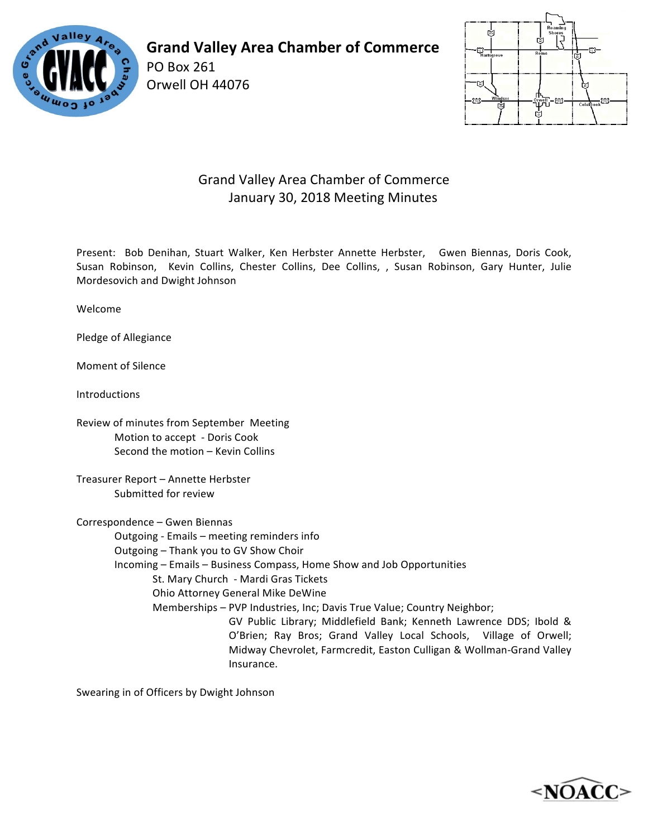

PO Box 261 Orwell OH 44076



## Grand Valley Area Chamber of Commerce January 30, 2018 Meeting Minutes

Present: Bob Denihan, Stuart Walker, Ken Herbster Annette Herbster, Gwen Biennas, Doris Cook, Susan Robinson, Kevin Collins, Chester Collins, Dee Collins, , Susan Robinson, Gary Hunter, Julie Mordesovich and Dwight Johnson

Welcome

Pledge of Allegiance

Moment of Silence

**Introductions** 

Review of minutes from September Meeting Motion to accept - Doris Cook Second the motion - Kevin Collins

Treasurer Report - Annette Herbster Submitted for review

Correspondence - Gwen Biennas Outgoing - Emails - meeting reminders info Outgoing - Thank you to GV Show Choir Incoming – Emails – Business Compass, Home Show and Job Opportunities St. Mary Church - Mardi Gras Tickets Ohio Attorney General Mike DeWine Memberships - PVP Industries, Inc; Davis True Value; Country Neighbor; GV Public Library; Middlefield Bank; Kenneth Lawrence DDS; Ibold & O'Brien; Ray Bros; Grand Valley Local Schools, Village of Orwell; Midway Chevrolet, Farmcredit, Easton Culligan & Wollman-Grand Valley Insurance.

Swearing in of Officers by Dwight Johnson

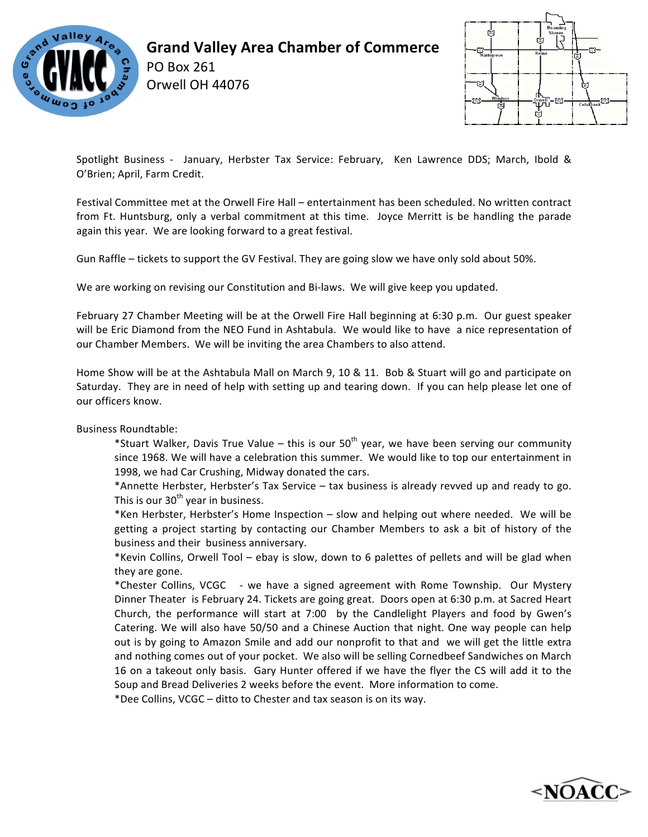

PO Box 261 Orwell OH 44076



Spotlight Business - January, Herbster Tax Service: February, Ken Lawrence DDS; March, Ibold & O'Brien; April, Farm Credit.

Festival Committee met at the Orwell Fire Hall – entertainment has been scheduled. No written contract from Ft. Huntsburg, only a verbal commitment at this time. Joyce Merritt is be handling the parade again this year. We are looking forward to a great festival.

Gun Raffle – tickets to support the GV Festival. They are going slow we have only sold about 50%.

We are working on revising our Constitution and Bi-laws. We will give keep you updated.

February 27 Chamber Meeting will be at the Orwell Fire Hall beginning at 6:30 p.m. Our guest speaker will be Eric Diamond from the NEO Fund in Ashtabula. We would like to have a nice representation of our Chamber Members. We will be inviting the area Chambers to also attend.

Home Show will be at the Ashtabula Mall on March 9, 10 & 11. Bob & Stuart will go and participate on Saturday. They are in need of help with setting up and tearing down. If you can help please let one of our officers know.

Business Roundtable:

\*Stuart Walker, Davis True Value – this is our  $50<sup>th</sup>$  year, we have been serving our community since 1968. We will have a celebration this summer. We would like to top our entertainment in 1998, we had Car Crushing, Midway donated the cars.

\*Annette Herbster, Herbster's Tax Service – tax business is already revved up and ready to go. This is our  $30<sup>th</sup>$  year in business.

\*Ken Herbster, Herbster's Home Inspection - slow and helping out where needed. We will be getting a project starting by contacting our Chamber Members to ask a bit of history of the business and their business anniversary.

\*Kevin Collins, Orwell Tool – ebay is slow, down to 6 palettes of pellets and will be glad when they are gone.

\*Chester Collins, VCGC - we have a signed agreement with Rome Township. Our Mystery Dinner Theater is February 24. Tickets are going great. Doors open at 6:30 p.m. at Sacred Heart Church, the performance will start at 7:00 by the Candlelight Players and food by Gwen's Catering. We will also have 50/50 and a Chinese Auction that night. One way people can help out is by going to Amazon Smile and add our nonprofit to that and we will get the little extra and nothing comes out of your pocket. We also will be selling Cornedbeef Sandwiches on March 16 on a takeout only basis. Gary Hunter offered if we have the flyer the CS will add it to the Soup and Bread Deliveries 2 weeks before the event. More information to come.

\*Dee Collins, VCGC – ditto to Chester and tax season is on its way.

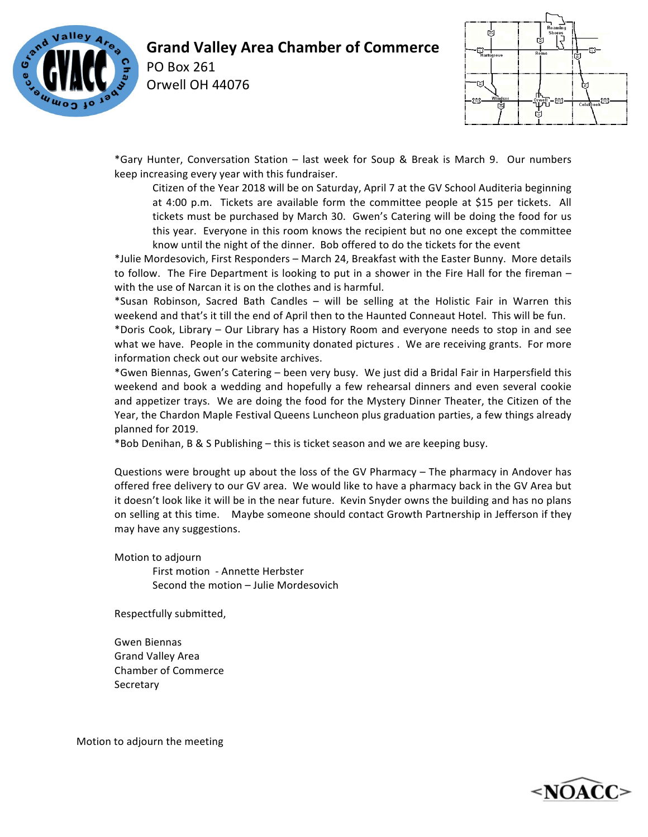

PO Box 261 Orwell OH 44076



\*Gary Hunter, Conversation Station – last week for Soup & Break is March 9. Our numbers keep increasing every year with this fundraiser.

Citizen of the Year 2018 will be on Saturday, April 7 at the GV School Auditeria beginning at 4:00 p.m. Tickets are available form the committee people at \$15 per tickets. All tickets must be purchased by March 30. Gwen's Catering will be doing the food for us this year. Everyone in this room knows the recipient but no one except the committee know until the night of the dinner. Bob offered to do the tickets for the event

\*Julie Mordesovich, First Responders – March 24, Breakfast with the Easter Bunny. More details to follow. The Fire Department is looking to put in a shower in the Fire Hall for the fireman – with the use of Narcan it is on the clothes and is harmful.

\*Susan Robinson, Sacred Bath Candles – will be selling at the Holistic Fair in Warren this weekend and that's it till the end of April then to the Haunted Conneaut Hotel. This will be fun.

\*Doris Cook, Library – Our Library has a History Room and everyone needs to stop in and see what we have. People in the community donated pictures . We are receiving grants. For more information check out our website archives.

\*Gwen Biennas, Gwen's Catering – been very busy. We just did a Bridal Fair in Harpersfield this weekend and book a wedding and hopefully a few rehearsal dinners and even several cookie and appetizer trays. We are doing the food for the Mystery Dinner Theater, the Citizen of the Year, the Chardon Maple Festival Queens Luncheon plus graduation parties, a few things already planned for 2019.

\*Bob Denihan, B & S Publishing – this is ticket season and we are keeping busy.

Questions were brought up about the loss of the GV Pharmacy – The pharmacy in Andover has offered free delivery to our GV area. We would like to have a pharmacy back in the GV Area but it doesn't look like it will be in the near future. Kevin Snyder owns the building and has no plans on selling at this time. Maybe someone should contact Growth Partnership in Jefferson if they may have any suggestions.

Motion to adjourn First motion - Annette Herbster Second the motion - Julie Mordesovich

Respectfully submitted,

Gwen Biennas Grand Valley Area Chamber of Commerce Secretary

Motion to adjourn the meeting